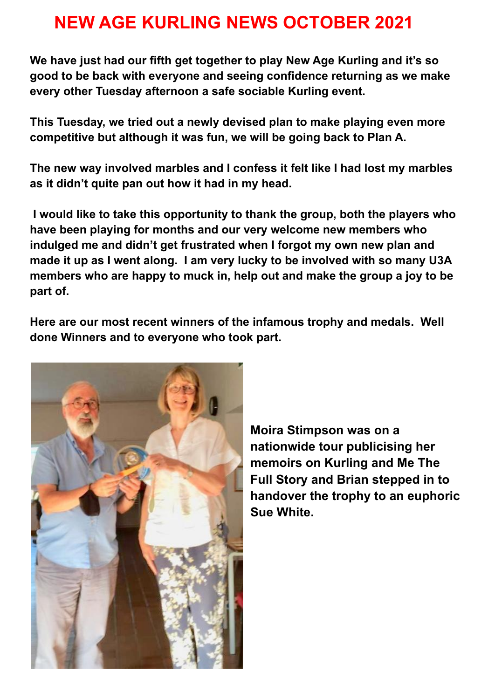## **NEW AGE KURLING NEWS OCTOBER 2021**

**We have just had our fifth get together to play New Age Kurling and it's so good to be back with everyone and seeing confidence returning as we make every other Tuesday afternoon a safe sociable Kurling event.**

**This Tuesday, we tried out a newly devised plan to make playing even more competitive but although it was fun, we will be going back to Plan A.**

**The new way involved marbles and I confess it felt like I had lost my marbles as it didn't quite pan out how it had in my head.**

**I would like to take this opportunity to thank the group, both the players who have been playing for months and our very welcome new members who indulged me and didn't get frustrated when I forgot my own new plan and made it up as I went along. I am very lucky to be involved with so many U3A members who are happy to muck in, help out and make the group a joy to be part of.**

**Here are our most recent winners of the infamous trophy and medals. Well done Winners and to everyone who took part.**



**Moira Stimpson was on a nationwide tour publicising her memoirs on Kurling and Me The Full Story and Brian stepped in to handover the trophy to an euphoric Sue White.**